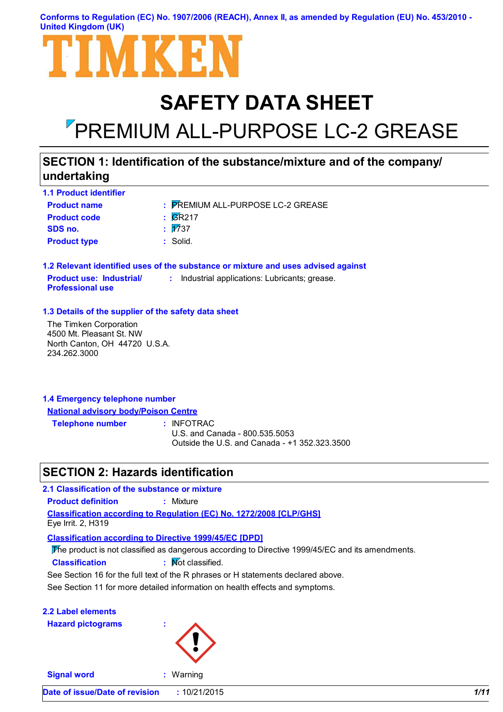#### **Conforms to Regulation (EC) No. 1907/2006 (REACH), Annex II, as amended by Regulation (EU) No. 453/2010 - United Kingdom (UK)**

# MKH

# **SAFETY DATA SHEET**

# PREMIUM ALL-PURPOSE LC-2 GREASE

# **SECTION 1: Identification of the substance/mixture and of the company/ undertaking**

| <b>1.1 Product identifier</b> |                                   |
|-------------------------------|-----------------------------------|
| <b>Product name</b>           | : PREMIUM ALL-PURPOSE LC-2 GREASE |
| <b>Product code</b>           | $\overline{\text{G}}$ R217        |
| SDS no.                       | $\overline{17}37$                 |
| <b>Product type</b>           | $:$ Solid.                        |

**1.2 Relevant identified uses of the substance or mixture and uses advised against Product use: Industrial/ Professional use :** Industrial applications: Lubricants; grease.

#### **1.3 Details of the supplier of the safety data sheet**

The Timken Corporation 4500 Mt. Pleasant St. NW North Canton, OH 44720 U.S.A. 234.262.3000

#### **1.4 Emergency telephone number National advisory body/Poison Centre**

**Telephone number :**

: INFOTRAC

U.S. and Canada - 800.535.5053 Outside the U.S. and Canada - +1 352.323.3500

# **SECTION 2: Hazards identification**

**Classification according to Regulation (EC) No. 1272/2008 [CLP/GHS] 2.1 Classification of the substance or mixture Product definition :** Mixture Eye Irrit. 2, H319

**Classification according to Directive 1999/45/EC [DPD]**

The product is not classified as dangerous according to Directive 1999/45/EC and its amendments.

**Classification :** Not classified.

See Section 16 for the full text of the R phrases or H statements declared above.

See Section 11 for more detailed information on health effects and symptoms.

|  | <b>2.2 Label elements</b> |  |
|--|---------------------------|--|
|  |                           |  |

**Hazard pictograms :**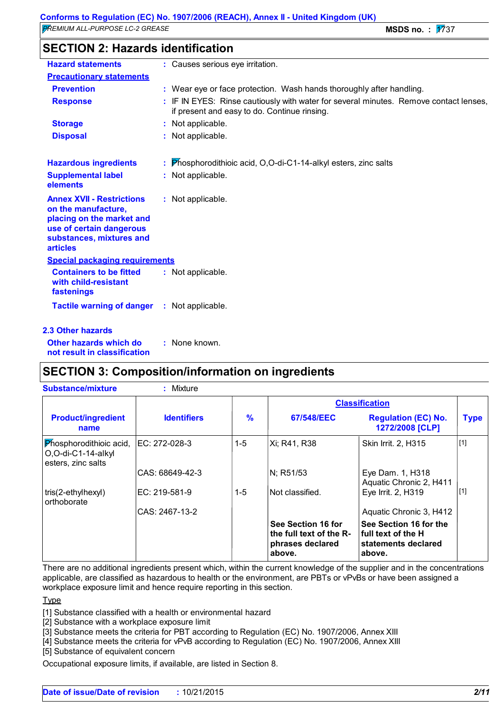| <b>SECTION 2: Hazards identification</b> |  |
|------------------------------------------|--|
|------------------------------------------|--|

| <b>Hazard statements</b>                                                                                                                                        | : Causes serious eye irritation.                                                                                                      |
|-----------------------------------------------------------------------------------------------------------------------------------------------------------------|---------------------------------------------------------------------------------------------------------------------------------------|
| <b>Precautionary statements</b>                                                                                                                                 |                                                                                                                                       |
| <b>Prevention</b>                                                                                                                                               | : Wear eye or face protection. Wash hands thoroughly after handling.                                                                  |
| <b>Response</b>                                                                                                                                                 | : IF IN EYES: Rinse cautiously with water for several minutes. Remove contact lenses,<br>if present and easy to do. Continue rinsing. |
| <b>Storage</b>                                                                                                                                                  | : Not applicable.                                                                                                                     |
| <b>Disposal</b>                                                                                                                                                 | : Not applicable.                                                                                                                     |
| <b>Hazardous ingredients</b>                                                                                                                                    | : Phosphorodithioic acid, O,O-di-C1-14-alkyl esters, zinc salts                                                                       |
| <b>Supplemental label</b><br>elements                                                                                                                           | : Not applicable.                                                                                                                     |
| <b>Annex XVII - Restrictions</b><br>on the manufacture,<br>placing on the market and<br>use of certain dangerous<br>substances, mixtures and<br><b>articles</b> | : Not applicable.                                                                                                                     |
| <b>Special packaging requirements</b>                                                                                                                           |                                                                                                                                       |
| <b>Containers to be fitted</b><br>with child-resistant<br>fastenings                                                                                            | : Not applicable.                                                                                                                     |
| <b>Tactile warning of danger</b>                                                                                                                                | : Not applicable.                                                                                                                     |
| <b>2.3 Other hazards</b>                                                                                                                                        |                                                                                                                                       |
| Other hazards which do<br>not result in classification                                                                                                          | : None known.                                                                                                                         |

# **SECTION 3: Composition/information on ingredients**

| <b>Substance/mixture</b>                                            | : Mixture          |               |                                                                             |                                                                               |             |
|---------------------------------------------------------------------|--------------------|---------------|-----------------------------------------------------------------------------|-------------------------------------------------------------------------------|-------------|
|                                                                     |                    |               |                                                                             | <b>Classification</b>                                                         |             |
| <b>Product/ingredient</b><br>name                                   | <b>Identifiers</b> | $\frac{9}{6}$ | 67/548/EEC                                                                  | <b>Regulation (EC) No.</b><br>1272/2008 [CLP]                                 | <b>Type</b> |
| Phosphorodithioic acid,<br>O,O-di-C1-14-alkyl<br>esters, zinc salts | EC: 272-028-3      | $1 - 5$       | Xi; R41, R38                                                                | Skin Irrit. 2, H315                                                           | [1]         |
|                                                                     | CAS: 68649-42-3    |               | N; R51/53                                                                   | Eye Dam. 1, H318<br>Aquatic Chronic 2, H411                                   |             |
| tris(2-ethylhexyl)<br>orthoborate                                   | EC: 219-581-9      | $1 - 5$       | Not classified.                                                             | Eye Irrit. 2, H319                                                            | [1]         |
|                                                                     | CAS: 2467-13-2     |               |                                                                             | Aquatic Chronic 3, H412                                                       |             |
|                                                                     |                    |               | See Section 16 for<br>the full text of the R-<br>phrases declared<br>above. | See Section 16 for the<br>full text of the H<br>statements declared<br>above. |             |

There are no additional ingredients present which, within the current knowledge of the supplier and in the concentrations applicable, are classified as hazardous to health or the environment, are PBTs or vPvBs or have been assigned a workplace exposure limit and hence require reporting in this section.

Type

[1] Substance classified with a health or environmental hazard

[2] Substance with a workplace exposure limit

[3] Substance meets the criteria for PBT according to Regulation (EC) No. 1907/2006, Annex XIII

[4] Substance meets the criteria for vPvB according to Regulation (EC) No. 1907/2006, Annex XIII

[5] Substance of equivalent concern

Occupational exposure limits, if available, are listed in Section 8.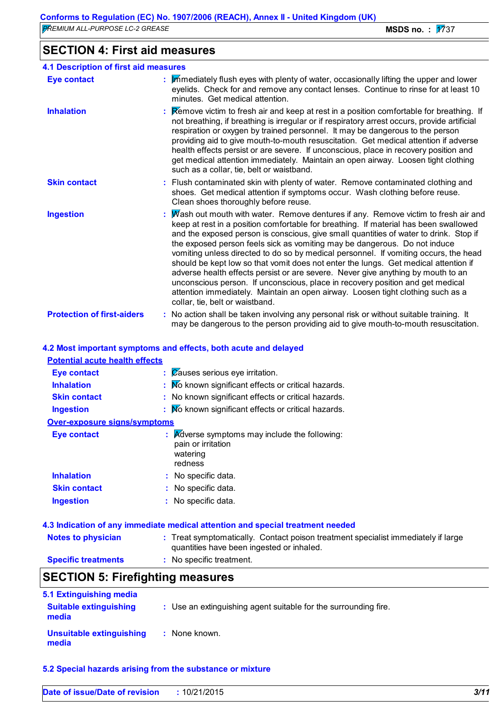# **SECTION 4: First aid measures**

| <b>4.1 Description of first aid measures</b> |                                                                                                                                                                                                                                                                                                                                                                                                                                                                                                                                                                                                                                                                                                                                                                                                                              |
|----------------------------------------------|------------------------------------------------------------------------------------------------------------------------------------------------------------------------------------------------------------------------------------------------------------------------------------------------------------------------------------------------------------------------------------------------------------------------------------------------------------------------------------------------------------------------------------------------------------------------------------------------------------------------------------------------------------------------------------------------------------------------------------------------------------------------------------------------------------------------------|
| <b>Eye contact</b>                           | : Immediately flush eyes with plenty of water, occasionally lifting the upper and lower<br>eyelids. Check for and remove any contact lenses. Continue to rinse for at least 10<br>minutes. Get medical attention.                                                                                                                                                                                                                                                                                                                                                                                                                                                                                                                                                                                                            |
| <b>Inhalation</b>                            | : Remove victim to fresh air and keep at rest in a position comfortable for breathing. If<br>not breathing, if breathing is irregular or if respiratory arrest occurs, provide artificial<br>respiration or oxygen by trained personnel. It may be dangerous to the person<br>providing aid to give mouth-to-mouth resuscitation. Get medical attention if adverse<br>health effects persist or are severe. If unconscious, place in recovery position and<br>get medical attention immediately. Maintain an open airway. Loosen tight clothing<br>such as a collar, tie, belt or waistband.                                                                                                                                                                                                                                 |
| <b>Skin contact</b>                          | : Flush contaminated skin with plenty of water. Remove contaminated clothing and<br>shoes. Get medical attention if symptoms occur. Wash clothing before reuse.<br>Clean shoes thoroughly before reuse.                                                                                                                                                                                                                                                                                                                                                                                                                                                                                                                                                                                                                      |
| <b>Ingestion</b>                             | : Mash out mouth with water. Remove dentures if any. Remove victim to fresh air and<br>keep at rest in a position comfortable for breathing. If material has been swallowed<br>and the exposed person is conscious, give small quantities of water to drink. Stop if<br>the exposed person feels sick as vomiting may be dangerous. Do not induce<br>vomiting unless directed to do so by medical personnel. If vomiting occurs, the head<br>should be kept low so that vomit does not enter the lungs. Get medical attention if<br>adverse health effects persist or are severe. Never give anything by mouth to an<br>unconscious person. If unconscious, place in recovery position and get medical<br>attention immediately. Maintain an open airway. Loosen tight clothing such as a<br>collar, tie, belt or waistband. |
| <b>Protection of first-aiders</b>            | : No action shall be taken involving any personal risk or without suitable training. It<br>may be dangerous to the person providing aid to give mouth-to-mouth resuscitation.                                                                                                                                                                                                                                                                                                                                                                                                                                                                                                                                                                                                                                                |

# **4.2 Most important symptoms and effects, both acute and delayed**

| <b>Potential acute health effects</b>   |                                                                                                                                |
|-----------------------------------------|--------------------------------------------------------------------------------------------------------------------------------|
| <b>Eye contact</b>                      | $\therefore$ Zauses serious eye irritation.                                                                                    |
| <b>Inhalation</b>                       | : No known significant effects or critical hazards.                                                                            |
| <b>Skin contact</b>                     | : No known significant effects or critical hazards.                                                                            |
| <b>Ingestion</b>                        | : No known significant effects or critical hazards.                                                                            |
| <b>Over-exposure signs/symptoms</b>     |                                                                                                                                |
| <b>Eye contact</b>                      | $\mathbf{R}$ Adverse symptoms may include the following:<br>pain or irritation<br>watering<br>redness                          |
| <b>Inhalation</b>                       | : No specific data.                                                                                                            |
| <b>Skin contact</b>                     | : No specific data.                                                                                                            |
| <b>Ingestion</b>                        | : No specific data.                                                                                                            |
|                                         | 4.3 Indication of any immediate medical attention and special treatment needed                                                 |
| <b>Notes to physician</b>               | : Treat symptomatically. Contact poison treatment specialist immediately if large<br>quantities have been ingested or inhaled. |
| <b>Specific treatments</b>              | : No specific treatment.                                                                                                       |
| <b>SECTION 5: Firefighting measures</b> |                                                                                                                                |

| 5.1 Extinguishing media                |                                                                 |
|----------------------------------------|-----------------------------------------------------------------|
| <b>Suitable extinguishing</b><br>media | : Use an extinguishing agent suitable for the surrounding fire. |
| Unsuitable extinguishing<br>media      | : None known.                                                   |

### **5.2 Special hazards arising from the substance or mixture**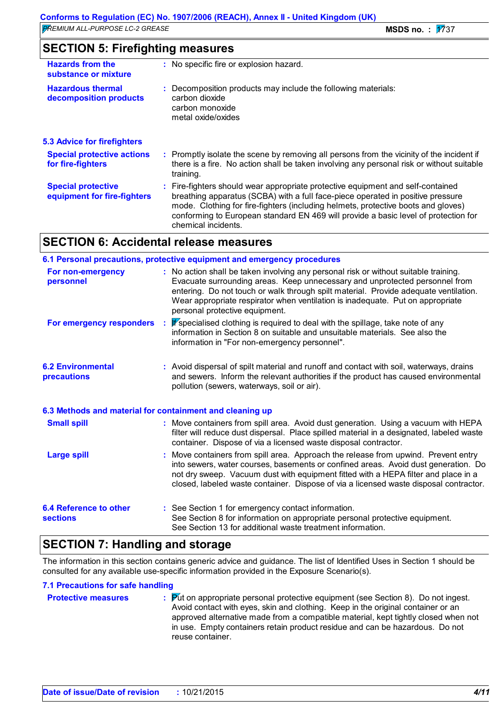| <b>SECTION 5: Firefighting measures</b> |  |
|-----------------------------------------|--|
|-----------------------------------------|--|

| <b>Hazards from the</b><br>substance or mixture          | : No specific fire or explosion hazard.                                                                                                                                                                                                                                                                                                                             |  |
|----------------------------------------------------------|---------------------------------------------------------------------------------------------------------------------------------------------------------------------------------------------------------------------------------------------------------------------------------------------------------------------------------------------------------------------|--|
| <b>Hazardous thermal</b><br>decomposition products       | : Decomposition products may include the following materials:<br>carbon dioxide<br>carbon monoxide<br>metal oxide/oxides                                                                                                                                                                                                                                            |  |
| <b>5.3 Advice for firefighters</b>                       |                                                                                                                                                                                                                                                                                                                                                                     |  |
| <b>Special protective actions</b><br>for fire-fighters   | : Promptly isolate the scene by removing all persons from the vicinity of the incident if<br>there is a fire. No action shall be taken involving any personal risk or without suitable<br>training.                                                                                                                                                                 |  |
| <b>Special protective</b><br>equipment for fire-fighters | Fire-fighters should wear appropriate protective equipment and self-contained<br>breathing apparatus (SCBA) with a full face-piece operated in positive pressure<br>mode. Clothing for fire-fighters (including helmets, protective boots and gloves)<br>conforming to European standard EN 469 will provide a basic level of protection for<br>chemical incidents. |  |

# **SECTION 6: Accidental release measures**

|                                                          | 6.1 Personal precautions, protective equipment and emergency procedures                                                                                                                                                                                                                                                                                                         |
|----------------------------------------------------------|---------------------------------------------------------------------------------------------------------------------------------------------------------------------------------------------------------------------------------------------------------------------------------------------------------------------------------------------------------------------------------|
| For non-emergency<br>personnel                           | : No action shall be taken involving any personal risk or without suitable training.<br>Evacuate surrounding areas. Keep unnecessary and unprotected personnel from<br>entering. Do not touch or walk through spilt material. Provide adequate ventilation.<br>Wear appropriate respirator when ventilation is inadequate. Put on appropriate<br>personal protective equipment. |
| For emergency responders                                 | : F specialised clothing is required to deal with the spillage, take note of any<br>information in Section 8 on suitable and unsuitable materials. See also the<br>information in "For non-emergency personnel".                                                                                                                                                                |
| <b>6.2 Environmental</b><br>precautions                  | : Avoid dispersal of spilt material and runoff and contact with soil, waterways, drains<br>and sewers. Inform the relevant authorities if the product has caused environmental<br>pollution (sewers, waterways, soil or air).                                                                                                                                                   |
| 6.3 Methods and material for containment and cleaning up |                                                                                                                                                                                                                                                                                                                                                                                 |
| <b>Small spill</b>                                       | : Move containers from spill area. Avoid dust generation. Using a vacuum with HEPA<br>filter will reduce dust dispersal. Place spilled material in a designated, labeled waste<br>container. Dispose of via a licensed waste disposal contractor.                                                                                                                               |
| <b>Large spill</b>                                       | : Move containers from spill area. Approach the release from upwind. Prevent entry<br>into sewers, water courses, basements or confined areas. Avoid dust generation. Do<br>not dry sweep. Vacuum dust with equipment fitted with a HEPA filter and place in a<br>closed, labeled waste container. Dispose of via a licensed waste disposal contractor.                         |
| <b>6.4 Reference to other</b><br><b>sections</b>         | : See Section 1 for emergency contact information.<br>See Section 8 for information on appropriate personal protective equipment.<br>See Section 13 for additional waste treatment information.                                                                                                                                                                                 |

# **SECTION 7: Handling and storage**

The information in this section contains generic advice and guidance. The list of Identified Uses in Section 1 should be consulted for any available use-specific information provided in the Exposure Scenario(s).

#### **7.1 Precautions for safe handling**

| <b>Protective measures</b> | $\mathbb{P}$ $\mathbb{P}$ (vector) Put protonal protective equipment (see Section 8). Do not ingest.<br>Avoid contact with eyes, skin and clothing. Keep in the original container or an<br>approved alternative made from a compatible material, kept tightly closed when not<br>in use. Empty containers retain product residue and can be hazardous. Do not |
|----------------------------|----------------------------------------------------------------------------------------------------------------------------------------------------------------------------------------------------------------------------------------------------------------------------------------------------------------------------------------------------------------|
|                            | reuse container.                                                                                                                                                                                                                                                                                                                                               |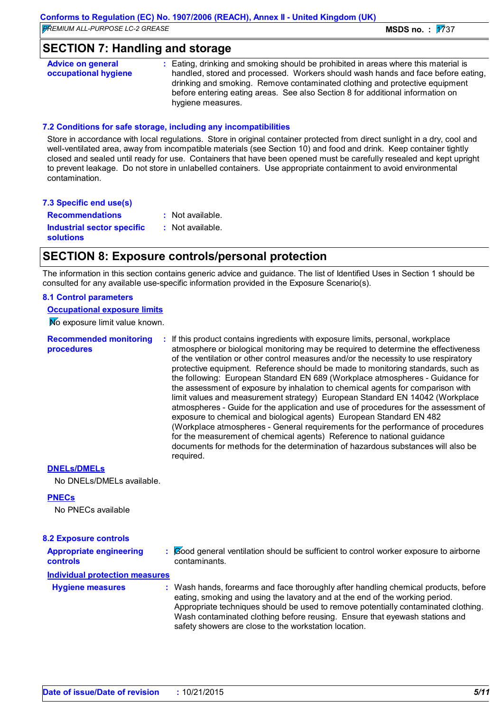# **SECTION 7: Handling and storage**

**Advice on general occupational hygiene :** Eating, drinking and smoking should be prohibited in areas where this material is handled, stored and processed. Workers should wash hands and face before eating, drinking and smoking. Remove contaminated clothing and protective equipment before entering eating areas. See also Section 8 for additional information on hygiene measures.

#### **7.2 Conditions for safe storage, including any incompatibilities**

Store in accordance with local regulations. Store in original container protected from direct sunlight in a dry, cool and well-ventilated area, away from incompatible materials (see Section 10) and food and drink. Keep container tightly closed and sealed until ready for use. Containers that have been opened must be carefully resealed and kept upright to prevent leakage. Do not store in unlabelled containers. Use appropriate containment to avoid environmental contamination.

|  | 7.3 Specific end use(s) |  |  |  |  |
|--|-------------------------|--|--|--|--|
|--|-------------------------|--|--|--|--|

**Recommendations :** : Not available.

**Industrial sector specific : solutions**

: Not available.

# **SECTION 8: Exposure controls/personal protection**

The information in this section contains generic advice and guidance. The list of Identified Uses in Section 1 should be consulted for any available use-specific information provided in the Exposure Scenario(s).

#### **8.1 Control parameters**

**Occupational exposure limits**

No exposure limit value known.

**Recommended monitoring procedures**

**:** If this product contains ingredients with exposure limits, personal, workplace atmosphere or biological monitoring may be required to determine the effectiveness of the ventilation or other control measures and/or the necessity to use respiratory protective equipment. Reference should be made to monitoring standards, such as the following: European Standard EN 689 (Workplace atmospheres - Guidance for the assessment of exposure by inhalation to chemical agents for comparison with limit values and measurement strategy) European Standard EN 14042 (Workplace atmospheres - Guide for the application and use of procedures for the assessment of exposure to chemical and biological agents) European Standard EN 482 (Workplace atmospheres - General requirements for the performance of procedures for the measurement of chemical agents) Reference to national guidance documents for methods for the determination of hazardous substances will also be required.

#### **DNELs/DMELs**

No DNELs/DMELs available.

#### **PNECs**

No PNECs available

#### **8.2 Exposure controls**

**Appropriate engineering controls**

**:** Good general ventilation should be sufficient to control worker exposure to airborne contaminants.

#### **Individual protection measures**

**Hygiene measures :**

Wash hands, forearms and face thoroughly after handling chemical products, before eating, smoking and using the lavatory and at the end of the working period. Appropriate techniques should be used to remove potentially contaminated clothing. Wash contaminated clothing before reusing. Ensure that eyewash stations and safety showers are close to the workstation location.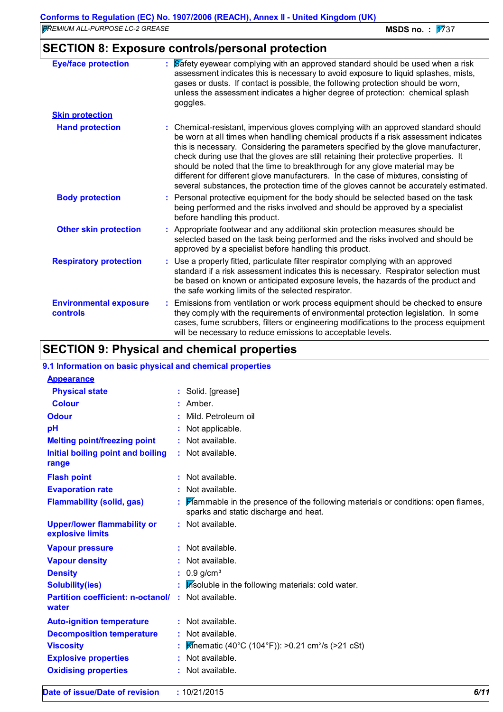| <b>Eye/face protection</b>                | $\frac{1}{2}$ Safety eyewear complying with an approved standard should be used when a risk<br>assessment indicates this is necessary to avoid exposure to liquid splashes, mists,<br>gases or dusts. If contact is possible, the following protection should be worn,<br>unless the assessment indicates a higher degree of protection: chemical splash<br>goggles.                                                                                                                                                                                                                                                   |
|-------------------------------------------|------------------------------------------------------------------------------------------------------------------------------------------------------------------------------------------------------------------------------------------------------------------------------------------------------------------------------------------------------------------------------------------------------------------------------------------------------------------------------------------------------------------------------------------------------------------------------------------------------------------------|
| <b>Skin protection</b>                    |                                                                                                                                                                                                                                                                                                                                                                                                                                                                                                                                                                                                                        |
| <b>Hand protection</b>                    | : Chemical-resistant, impervious gloves complying with an approved standard should<br>be worn at all times when handling chemical products if a risk assessment indicates<br>this is necessary. Considering the parameters specified by the glove manufacturer,<br>check during use that the gloves are still retaining their protective properties. It<br>should be noted that the time to breakthrough for any glove material may be<br>different for different glove manufacturers. In the case of mixtures, consisting of<br>several substances, the protection time of the gloves cannot be accurately estimated. |
| <b>Body protection</b>                    | : Personal protective equipment for the body should be selected based on the task<br>being performed and the risks involved and should be approved by a specialist<br>before handling this product.                                                                                                                                                                                                                                                                                                                                                                                                                    |
| <b>Other skin protection</b>              | : Appropriate footwear and any additional skin protection measures should be<br>selected based on the task being performed and the risks involved and should be<br>approved by a specialist before handling this product.                                                                                                                                                                                                                                                                                                                                                                                              |
| <b>Respiratory protection</b>             | : Use a properly fitted, particulate filter respirator complying with an approved<br>standard if a risk assessment indicates this is necessary. Respirator selection must<br>be based on known or anticipated exposure levels, the hazards of the product and<br>the safe working limits of the selected respirator.                                                                                                                                                                                                                                                                                                   |
| <b>Environmental exposure</b><br>controls | : Emissions from ventilation or work process equipment should be checked to ensure<br>they comply with the requirements of environmental protection legislation. In some<br>cases, fume scrubbers, filters or engineering modifications to the process equipment<br>will be necessary to reduce emissions to acceptable levels.                                                                                                                                                                                                                                                                                        |

# **SECTION 9: Physical and chemical properties**

| 9.1 Information on basic physical and chemical properties |                                                                                                                           |
|-----------------------------------------------------------|---------------------------------------------------------------------------------------------------------------------------|
| <b>Appearance</b>                                         |                                                                                                                           |
| <b>Physical state</b>                                     | : Solid. [grease]                                                                                                         |
| <b>Colour</b>                                             | $:$ Amber.                                                                                                                |
| <b>Odour</b>                                              | Mild. Petroleum oil                                                                                                       |
| pH                                                        | Not applicable.                                                                                                           |
| <b>Melting point/freezing point</b>                       | : Not available.                                                                                                          |
| Initial boiling point and boiling<br>range                | : Not available.                                                                                                          |
| <b>Flash point</b>                                        | $:$ Not available.                                                                                                        |
| <b>Evaporation rate</b>                                   | : Not available.                                                                                                          |
| <b>Flammability (solid, gas)</b>                          | Flammable in the presence of the following materials or conditions: open flames,<br>sparks and static discharge and heat. |
| <b>Upper/lower flammability or</b><br>explosive limits    | : Not available.                                                                                                          |
| <b>Vapour pressure</b>                                    | : Not available.                                                                                                          |
| <b>Vapour density</b>                                     | : Not available.                                                                                                          |
| <b>Density</b>                                            | $0.9$ g/cm <sup>3</sup>                                                                                                   |
| <b>Solubility(ies)</b>                                    | Insoluble in the following materials: cold water.                                                                         |
| <b>Partition coefficient: n-octanol/</b><br>water         | : Not available.                                                                                                          |
| <b>Auto-ignition temperature</b>                          | : Not available.                                                                                                          |
| <b>Decomposition temperature</b>                          | : Not available.                                                                                                          |
| <b>Viscosity</b>                                          | <b>K</b> inematic (40°C (104°F)): >0.21 cm <sup>2</sup> /s (>21 cSt)                                                      |
| <b>Explosive properties</b>                               | : Not available.                                                                                                          |
| <b>Oxidising properties</b>                               | : Not available.                                                                                                          |
| Date of issue/Date of revision                            | 6/11<br>: 10/21/2015                                                                                                      |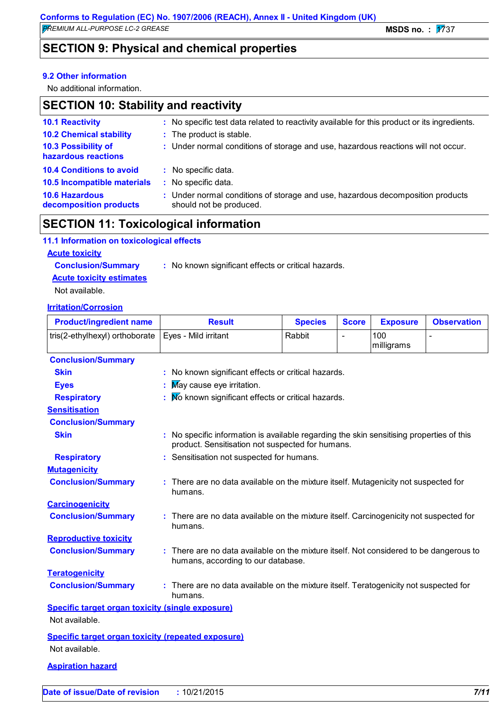# **SECTION 9: Physical and chemical properties**

#### **9.2 Other information**

No additional information.

# **SECTION 10: Stability and reactivity**

| <b>10.1 Reactivity</b>                          | : No specific test data related to reactivity available for this product or its ingredients.              |
|-------------------------------------------------|-----------------------------------------------------------------------------------------------------------|
| <b>10.2 Chemical stability</b>                  | : The product is stable.                                                                                  |
| 10.3 Possibility of<br>hazardous reactions      | : Under normal conditions of storage and use, hazardous reactions will not occur.                         |
| <b>10.4 Conditions to avoid</b>                 | : No specific data.                                                                                       |
| 10.5 Incompatible materials                     | : No specific data.                                                                                       |
| <b>10.6 Hazardous</b><br>decomposition products | : Under normal conditions of storage and use, hazardous decomposition products<br>should not be produced. |

# **SECTION 11: Toxicological information**

#### **11.1 Information on toxicological effects**

#### **Acute toxicity**

**Conclusion/Summary :** No known significant effects or critical hazards. **Acute toxicity estimates**

Not available.

#### **Irritation/Corrosion**

| <b>Product/ingredient name</b>                            | <b>Result</b>                                                                                                                                | <b>Species</b> | <b>Score</b> | <b>Exposure</b>   | <b>Observation</b> |
|-----------------------------------------------------------|----------------------------------------------------------------------------------------------------------------------------------------------|----------------|--------------|-------------------|--------------------|
| tris(2-ethylhexyl) orthoborate                            | Eyes - Mild irritant                                                                                                                         | Rabbit         | L,           | 100<br>milligrams | $\overline{a}$     |
| <b>Conclusion/Summary</b>                                 |                                                                                                                                              |                |              |                   |                    |
| <b>Skin</b>                                               | : No known significant effects or critical hazards.                                                                                          |                |              |                   |                    |
| <b>Eyes</b>                                               | May cause eye irritation.                                                                                                                    |                |              |                   |                    |
| <b>Respiratory</b>                                        | No known significant effects or critical hazards.                                                                                            |                |              |                   |                    |
| <b>Sensitisation</b>                                      |                                                                                                                                              |                |              |                   |                    |
| <b>Conclusion/Summary</b>                                 |                                                                                                                                              |                |              |                   |                    |
| <b>Skin</b>                                               | : No specific information is available regarding the skin sensitising properties of this<br>product. Sensitisation not suspected for humans. |                |              |                   |                    |
| <b>Respiratory</b>                                        | : Sensitisation not suspected for humans.                                                                                                    |                |              |                   |                    |
| <b>Mutagenicity</b>                                       |                                                                                                                                              |                |              |                   |                    |
| <b>Conclusion/Summary</b>                                 | There are no data available on the mixture itself. Mutagenicity not suspected for<br>humans.                                                 |                |              |                   |                    |
| <b>Carcinogenicity</b>                                    |                                                                                                                                              |                |              |                   |                    |
| <b>Conclusion/Summary</b>                                 | : There are no data available on the mixture itself. Carcinogenicity not suspected for<br>humans.                                            |                |              |                   |                    |
| <b>Reproductive toxicity</b>                              |                                                                                                                                              |                |              |                   |                    |
| <b>Conclusion/Summary</b>                                 | There are no data available on the mixture itself. Not considered to be dangerous to<br>humans, according to our database.                   |                |              |                   |                    |
| <b>Teratogenicity</b>                                     |                                                                                                                                              |                |              |                   |                    |
| <b>Conclusion/Summary</b>                                 | There are no data available on the mixture itself. Teratogenicity not suspected for<br>humans.                                               |                |              |                   |                    |
| <b>Specific target organ toxicity (single exposure)</b>   |                                                                                                                                              |                |              |                   |                    |
| Not available.                                            |                                                                                                                                              |                |              |                   |                    |
| <b>Specific target organ toxicity (repeated exposure)</b> |                                                                                                                                              |                |              |                   |                    |
| Not available.                                            |                                                                                                                                              |                |              |                   |                    |
| <b>Aspiration hazard</b>                                  |                                                                                                                                              |                |              |                   |                    |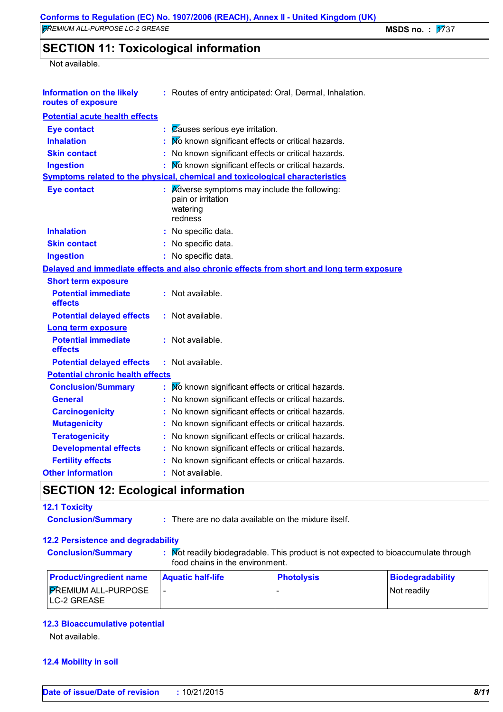# **SECTION 11: Toxicological information**

#### Not available.

| <b>Information on the likely</b><br>routes of exposure |    | : Routes of entry anticipated: Oral, Dermal, Inhalation.                                 |
|--------------------------------------------------------|----|------------------------------------------------------------------------------------------|
| <b>Potential acute health effects</b>                  |    |                                                                                          |
| <b>Eye contact</b>                                     | ř. | Causes serious eye irritation.                                                           |
| <b>Inhalation</b>                                      |    | No known significant effects or critical hazards.                                        |
| <b>Skin contact</b>                                    |    | : No known significant effects or critical hazards.                                      |
| <b>Ingestion</b>                                       |    | No known significant effects or critical hazards.                                        |
|                                                        |    | Symptoms related to the physical, chemical and toxicological characteristics             |
| <b>Eye contact</b>                                     |    | Adverse symptoms may include the following:<br>pain or irritation<br>watering<br>redness |
| <b>Inhalation</b>                                      |    | : No specific data.                                                                      |
| <b>Skin contact</b>                                    |    | : No specific data.                                                                      |
| <b>Ingestion</b>                                       |    | : No specific data.                                                                      |
|                                                        |    | Delayed and immediate effects and also chronic effects from short and long term exposure |
| <b>Short term exposure</b>                             |    |                                                                                          |
| <b>Potential immediate</b><br>effects                  |    | : Not available.                                                                         |
| <b>Potential delayed effects</b>                       |    | : Not available.                                                                         |
| <b>Long term exposure</b>                              |    |                                                                                          |
| <b>Potential immediate</b><br>effects                  |    | : Not available.                                                                         |
| <b>Potential delayed effects</b>                       |    | : Not available.                                                                         |
| <b>Potential chronic health effects</b>                |    |                                                                                          |
| <b>Conclusion/Summary</b>                              |    | No known significant effects or critical hazards.                                        |
| <b>General</b>                                         |    | No known significant effects or critical hazards.                                        |
| <b>Carcinogenicity</b>                                 |    | : No known significant effects or critical hazards.                                      |
| <b>Mutagenicity</b>                                    |    | No known significant effects or critical hazards.                                        |
| <b>Teratogenicity</b>                                  |    | No known significant effects or critical hazards.                                        |
| <b>Developmental effects</b>                           |    | : No known significant effects or critical hazards.                                      |
| <b>Fertility effects</b>                               |    | : No known significant effects or critical hazards.                                      |
| <b>Other information</b>                               |    | : Not available.                                                                         |
|                                                        |    |                                                                                          |

# **SECTION 12: Ecological information**

### **12.1 Toxicity**

- 
- **Conclusion/Summary :** There are no data available on the mixture itself.

## **12.2 Persistence and degradability**

- 
- **Conclusion/Summary :** Not readily biodegradable. This product is not expected to bioaccumulate through food chains in the environment.

| <b>Product/ingredient name</b>            | <b>Aquatic half-life</b> | <u> IPhotolvsis</u> | <b>Biodegradability</b> |
|-------------------------------------------|--------------------------|---------------------|-------------------------|
| <b>FREMIUM ALL-PURPOSE</b><br>LC-2 GREASE |                          |                     | l Not readilv           |

#### **12.3 Bioaccumulative potential**

Not available.

#### **12.4 Mobility in soil**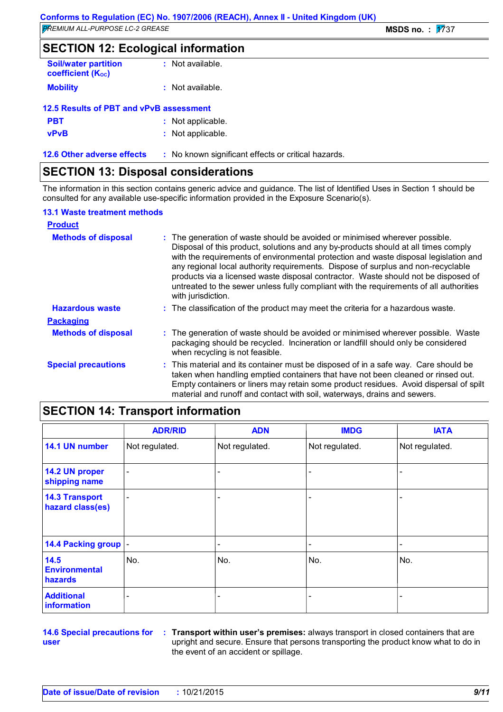**SECTION 12: Ecological information**

| <b>Soil/water partition</b><br><b>coefficient (Koc)</b> | : Not available.   |
|---------------------------------------------------------|--------------------|
| <b>Mobility</b>                                         | $:$ Not available. |
| $10E$ Deaults of DDT and $vDvD$ concernant              |                    |

| 12.5 Results of PBT and vPvB assessment |                   |
|-----------------------------------------|-------------------|
| <b>PBT</b>                              | : Not applicable. |
| <b>vPvB</b>                             | : Not applicable. |
|                                         |                   |

**12.6 Other adverse effects** : No known significant effects or critical hazards.

# **SECTION 13: Disposal considerations**

The information in this section contains generic advice and guidance. The list of Identified Uses in Section 1 should be consulted for any available use-specific information provided in the Exposure Scenario(s).

#### **13.1 Waste treatment methods**

| <b>Product</b>             |                                                                                                                                                                                                                                                                                                                                                                                                                                                                                                                                                     |
|----------------------------|-----------------------------------------------------------------------------------------------------------------------------------------------------------------------------------------------------------------------------------------------------------------------------------------------------------------------------------------------------------------------------------------------------------------------------------------------------------------------------------------------------------------------------------------------------|
| <b>Methods of disposal</b> | : The generation of waste should be avoided or minimised wherever possible.<br>Disposal of this product, solutions and any by-products should at all times comply<br>with the requirements of environmental protection and waste disposal legislation and<br>any regional local authority requirements. Dispose of surplus and non-recyclable<br>products via a licensed waste disposal contractor. Waste should not be disposed of<br>untreated to the sewer unless fully compliant with the requirements of all authorities<br>with jurisdiction. |
| <b>Hazardous waste</b>     | : The classification of the product may meet the criteria for a hazardous waste.                                                                                                                                                                                                                                                                                                                                                                                                                                                                    |
| <b>Packaging</b>           |                                                                                                                                                                                                                                                                                                                                                                                                                                                                                                                                                     |
| <b>Methods of disposal</b> | : The generation of waste should be avoided or minimised wherever possible. Waste<br>packaging should be recycled. Incineration or landfill should only be considered<br>when recycling is not feasible.                                                                                                                                                                                                                                                                                                                                            |
| <b>Special precautions</b> | : This material and its container must be disposed of in a safe way. Care should be<br>taken when handling emptied containers that have not been cleaned or rinsed out.<br>Empty containers or liners may retain some product residues. Avoid dispersal of spilt<br>material and runoff and contact with soil, waterways, drains and sewers.                                                                                                                                                                                                        |

# **SECTION 14: Transport information**

|                                           | <b>ADR/RID</b>           | <b>ADN</b>     | <b>IMDG</b>    | <b>IATA</b>    |
|-------------------------------------------|--------------------------|----------------|----------------|----------------|
| 14.1 UN number                            | Not regulated.           | Not regulated. | Not regulated. | Not regulated. |
| 14.2 UN proper<br>shipping name           | $\overline{\phantom{a}}$ |                |                |                |
| <b>14.3 Transport</b><br>hazard class(es) | $\overline{\phantom{a}}$ |                |                |                |
| 14.4 Packing group  -                     |                          |                |                |                |
| 14.5<br><b>Environmental</b><br>hazards   | No.                      | No.            | No.            | No.            |
| <b>Additional</b><br>information          |                          | -              |                |                |

**14.6 Special precautions for user**

**Transport within user's premises:** always transport in closed containers that are **:** upright and secure. Ensure that persons transporting the product know what to do in the event of an accident or spillage.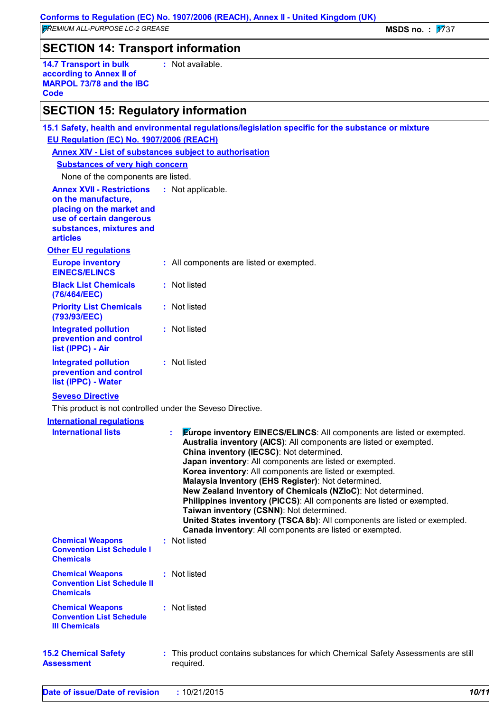# **SECTION 14: Transport information**

**14.7 Transport in bulk according to Annex II of MARPOL 73/78 and the IBC Code :** Not available.

# **SECTION 15: Regulatory information**

|                                                                                                                                                                 | 15.1 Safety, health and environmental regulations/legislation specific for the substance or mixture                                                                                                                                                                                                                                                                                                                                                                                                                                                                                                                                                                                                                            |
|-----------------------------------------------------------------------------------------------------------------------------------------------------------------|--------------------------------------------------------------------------------------------------------------------------------------------------------------------------------------------------------------------------------------------------------------------------------------------------------------------------------------------------------------------------------------------------------------------------------------------------------------------------------------------------------------------------------------------------------------------------------------------------------------------------------------------------------------------------------------------------------------------------------|
| EU Regulation (EC) No. 1907/2006 (REACH)                                                                                                                        |                                                                                                                                                                                                                                                                                                                                                                                                                                                                                                                                                                                                                                                                                                                                |
| <b>Annex XIV - List of substances subject to authorisation</b>                                                                                                  |                                                                                                                                                                                                                                                                                                                                                                                                                                                                                                                                                                                                                                                                                                                                |
| <b>Substances of very high concern</b>                                                                                                                          |                                                                                                                                                                                                                                                                                                                                                                                                                                                                                                                                                                                                                                                                                                                                |
| None of the components are listed.                                                                                                                              |                                                                                                                                                                                                                                                                                                                                                                                                                                                                                                                                                                                                                                                                                                                                |
| <b>Annex XVII - Restrictions</b><br>on the manufacture,<br>placing on the market and<br>use of certain dangerous<br>substances, mixtures and<br><b>articles</b> | : Not applicable.                                                                                                                                                                                                                                                                                                                                                                                                                                                                                                                                                                                                                                                                                                              |
| <b>Other EU regulations</b>                                                                                                                                     |                                                                                                                                                                                                                                                                                                                                                                                                                                                                                                                                                                                                                                                                                                                                |
| <b>Europe inventory</b><br><b>EINECS/ELINCS</b>                                                                                                                 | : All components are listed or exempted.                                                                                                                                                                                                                                                                                                                                                                                                                                                                                                                                                                                                                                                                                       |
| <b>Black List Chemicals</b><br>(76/464/EEC)                                                                                                                     | : Not listed                                                                                                                                                                                                                                                                                                                                                                                                                                                                                                                                                                                                                                                                                                                   |
| <b>Priority List Chemicals</b><br>(793/93/EEC)                                                                                                                  | : Not listed                                                                                                                                                                                                                                                                                                                                                                                                                                                                                                                                                                                                                                                                                                                   |
| <b>Integrated pollution</b><br>prevention and control<br>list (IPPC) - Air                                                                                      | : Not listed                                                                                                                                                                                                                                                                                                                                                                                                                                                                                                                                                                                                                                                                                                                   |
| <b>Integrated pollution</b><br>prevention and control<br>list (IPPC) - Water                                                                                    | : Not listed                                                                                                                                                                                                                                                                                                                                                                                                                                                                                                                                                                                                                                                                                                                   |
| <b>Seveso Directive</b>                                                                                                                                         |                                                                                                                                                                                                                                                                                                                                                                                                                                                                                                                                                                                                                                                                                                                                |
| This product is not controlled under the Seveso Directive.                                                                                                      |                                                                                                                                                                                                                                                                                                                                                                                                                                                                                                                                                                                                                                                                                                                                |
| <b>International requlations</b><br><b>International lists</b><br><b>Chemical Weapons</b>                                                                       | <b>Europe inventory EINECS/ELINCS:</b> All components are listed or exempted.<br>t.<br>Australia inventory (AICS): All components are listed or exempted.<br>China inventory (IECSC): Not determined.<br>Japan inventory: All components are listed or exempted.<br>Korea inventory: All components are listed or exempted.<br>Malaysia Inventory (EHS Register): Not determined.<br>New Zealand Inventory of Chemicals (NZIoC): Not determined.<br>Philippines inventory (PICCS): All components are listed or exempted.<br>Taiwan inventory (CSNN): Not determined.<br>United States inventory (TSCA 8b): All components are listed or exempted.<br>Canada inventory: All components are listed or exempted.<br>: Not listed |
| <b>Convention List Schedule I</b><br><b>Chemicals</b>                                                                                                           |                                                                                                                                                                                                                                                                                                                                                                                                                                                                                                                                                                                                                                                                                                                                |
| <b>Chemical Weapons</b><br><b>Convention List Schedule II</b><br><b>Chemicals</b>                                                                               | : Not listed                                                                                                                                                                                                                                                                                                                                                                                                                                                                                                                                                                                                                                                                                                                   |
| <b>Chemical Weapons</b><br><b>Convention List Schedule</b><br><b>III Chemicals</b>                                                                              | : Not listed                                                                                                                                                                                                                                                                                                                                                                                                                                                                                                                                                                                                                                                                                                                   |
| <b>15.2 Chemical Safety</b><br><b>Assessment</b>                                                                                                                | : This product contains substances for which Chemical Safety Assessments are still<br>required.                                                                                                                                                                                                                                                                                                                                                                                                                                                                                                                                                                                                                                |